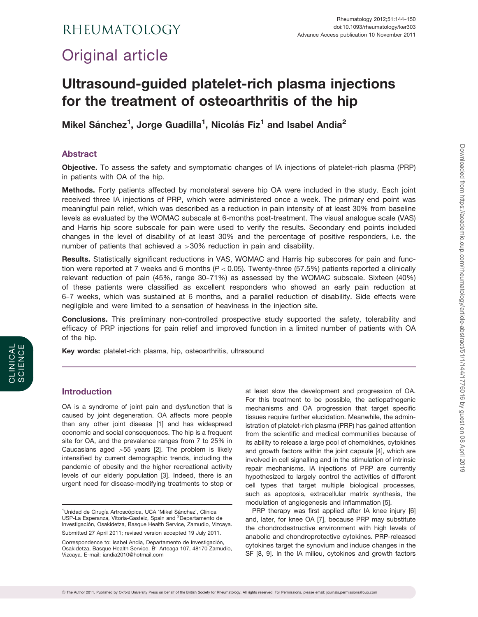# RHEUMATOLOGY

# Original article

# Ultrasound-guided platelet-rich plasma injections for the treatment of osteoarthritis of the hip

Mikel Sánchez<sup>1</sup>, Jorge Guadilla<sup>1</sup>, Nicolás Fiz<sup>1</sup> and Isabel Andia<sup>2</sup>

# Abstract

Objective. To assess the safety and symptomatic changes of IA injections of platelet-rich plasma (PRP) in patients with OA of the hip.

Methods. Forty patients affected by monolateral severe hip OA were included in the study. Each joint received three IA injections of PRP, which were administered once a week. The primary end point was meaningful pain relief, which was described as a reduction in pain intensity of at least 30% from baseline levels as evaluated by the WOMAC subscale at 6-months post-treatment. The visual analogue scale (VAS) and Harris hip score subscale for pain were used to verify the results. Secondary end points included changes in the level of disability of at least 30% and the percentage of positive responders, i.e. the number of patients that achieved a >30% reduction in pain and disability.

Results. Statistically significant reductions in VAS, WOMAC and Harris hip subscores for pain and function were reported at 7 weeks and 6 months ( $P < 0.05$ ). Twenty-three (57.5%) patients reported a clinically relevant reduction of pain (45%, range 30-71%) as assessed by the WOMAC subscale. Sixteen (40%) of these patients were classified as excellent responders who showed an early pain reduction at 6-7 weeks, which was sustained at 6 months, and a parallel reduction of disability. Side effects were negligible and were limited to a sensation of heaviness in the injection site.

Conclusions. This preliminary non-controlled prospective study supported the safety, tolerability and efficacy of PRP injections for pain relief and improved function in a limited number of patients with OA of the hip.

Key words: platelet-rich plasma, hip, osteoarthritis, ultrasound

# Introduction

OA is a syndrome of joint pain and dysfunction that is caused by joint degeneration. OA affects more people than any other joint disease [[1](#page-5-0)] and has widespread economic and social consequences. The hip is a frequent site for OA, and the prevalence ranges from 7 to 25% in Caucasians aged >55 years [[2](#page-5-0)]. The problem is likely intensified by current demographic trends, including the pandemic of obesity and the higher recreational activity levels of our elderly population [[3](#page-5-0)]. Indeed, there is an urgent need for disease-modifying treatments to stop or

at least slow the development and progression of OA. For this treatment to be possible, the aetiopathogenic mechanisms and OA progression that target specific tissues require further elucidation. Meanwhile, the administration of platelet-rich plasma (PRP) has gained attention from the scientific and medical communities because of its ability to release a large pool of chemokines, cytokines and growth factors within the joint capsule [[4](#page-5-0)], which are involved in cell signalling and in the stimulation of intrinsic repair mechanisms. IA injections of PRP are currently hypothesized to largely control the activities of different cell types that target multiple biological processes, such as apoptosis, extracellular matrix synthesis, the modulation of angiogenesis and inflammation [\[5\]](#page-5-0).

Downloaded from https://academic.oup.com/rheumatology/article-abstract/51/1/144/1776016 by guest on 08 April 2019 Downloaded from https://academic.oup.com/rheumatology/article-abstract/51/1/144/1776016 by guest on 08 April 2019

PRP therapy was first applied after IA knee injury [\[6\]](#page-5-0) and, later, for knee OA [[7](#page-5-0)], because PRP may substitute the chondrodestructive environment with high levels of anabolic and chondroprotective cytokines. PRP-released cytokines target the synovium and induce changes in the SF [[8](#page-5-0), [9](#page-5-0)]. In the IA milieu, cytokines and growth factors

<sup>&</sup>lt;sup>1</sup>Unidad de Cirugía Artroscópica, UCA 'Mikel Sánchez', Clínica USP-La Esperanza, Vitoria-Gasteiz, Spain and <sup>2</sup>Departamento de Investigación, Osakidetza, Basque Health Service, Zamudio, Vizcaya. Submitted 27 April 2011; revised version accepted 19 July 2011.

Correspondence to: Isabel Andia, Departamento de Investigación, Osakidetza, Basque Health Service, B° Arteaga 107, 48170 Zamudio, Vizcaya. E-mail: iandia2010@hotmail.com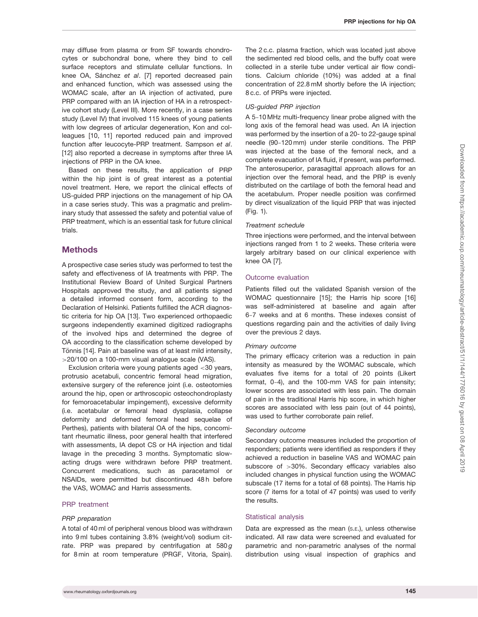may diffuse from plasma or from SF towards chondrocytes or subchondral bone, where they bind to cell surface receptors and stimulate cellular functions. In knee OA, Sánchez et al. [\[7](#page-5-0)] reported decreased pain and enhanced function, which was assessed using the WOMAC scale, after an IA injection of activated, pure PRP compared with an IA injection of HA in a retrospective cohort study (Level III). More recently, in a case series study (Level IV) that involved 115 knees of young patients with low degrees of articular degeneration, Kon and colleagues [[10](#page-5-0), [11\]](#page-5-0) reported reduced pain and improved function after leucocyte-PRP treatment. Sampson et al. [[12\]](#page-5-0) also reported a decrease in symptoms after three IA injections of PRP in the OA knee.

Based on these results, the application of PRP within the hip joint is of great interest as a potential novel treatment. Here, we report the clinical effects of US-guided PRP injections on the management of hip OA in a case series study. This was a pragmatic and preliminary study that assessed the safety and potential value of PRP treatment, which is an essential task for future clinical trials.

## **Methods**

A prospective case series study was performed to test the safety and effectiveness of IA treatments with PRP. The Institutional Review Board of United Surgical Partners Hospitals approved the study, and all patients signed a detailed informed consent form, according to the Declaration of Helsinki. Patients fulfilled the ACR diagnostic criteria for hip OA [[13](#page-5-0)]. Two experienced orthopaedic surgeons independently examined digitized radiographs of the involved hips and determined the degree of OA according to the classification scheme developed by Tönnis [\[14](#page-5-0)]. Pain at baseline was of at least mild intensity, >20/100 on a 100-mm visual analogue scale (VAS).

Exclusion criteria were young patients aged <30 years, protrusio acetabuli, concentric femoral head migration, extensive surgery of the reference joint (i.e. osteotomies around the hip, open or arthroscopic osteochondroplasty for femoroacetabular impingement), excessive deformity (i.e. acetabular or femoral head dysplasia, collapse deformity and deformed femoral head sequelae of Perthes), patients with bilateral OA of the hips, concomitant rheumatic illness, poor general health that interfered with assessments, IA depot CS or HA injection and tidal lavage in the preceding 3 months. Symptomatic slowacting drugs were withdrawn before PRP treatment. Concurrent medications, such as paracetamol or NSAIDs, were permitted but discontinued 48h before the VAS, WOMAC and Harris assessments.

#### PRP treatment

#### PRP preparation

A total of 40 ml of peripheral venous blood was withdrawn into 9 ml tubes containing 3.8% (weight/vol) sodium citrate. PRP was prepared by centrifugation at  $580g$ for 8 min at room temperature (PRGF, Vitoria, Spain).

The 2 c.c. plasma fraction, which was located just above the sedimented red blood cells, and the buffy coat were collected in a sterile tube under vertical air flow conditions. Calcium chloride (10%) was added at a final concentration of 22.8 mM shortly before the IA injection; 8 c.c. of PRPs were injected.

## US-guided PRP injection

A 5-10 MHz multi-frequency linear probe aligned with the long axis of the femoral head was used. An IA injection was performed by the insertion of a 20- to 22-gauge spinal needle (90-120 mm) under sterile conditions. The PRP was injected at the base of the femoral neck, and a complete evacuation of IA fluid, if present, was performed. The anterosuperior, parasagittal approach allows for an injection over the femoral head, and the PRP is evenly distributed on the cartilage of both the femoral head and the acetabulum. Proper needle position was confirmed by direct visualization of the liquid PRP that was injected ([Fig. 1](#page-2-0)).

#### Treatment schedule

Three injections were performed, and the interval between injections ranged from 1 to 2 weeks. These criteria were largely arbitrary based on our clinical experience with knee OA [[7](#page-5-0)].

#### Outcome evaluation

Patients filled out the validated Spanish version of the WOMAC questionnaire [[15](#page-6-0)]; the Harris hip score [\[16\]](#page-6-0) was self-administered at baseline and again after 6-7 weeks and at 6 months. These indexes consist of questions regarding pain and the activities of daily living over the previous 2 days.

#### Primary outcome

The primary efficacy criterion was a reduction in pain intensity as measured by the WOMAC subscale, which evaluates five items for a total of 20 points (Likert format, 0-4), and the 100-mm VAS for pain intensity; lower scores are associated with less pain. The domain of pain in the traditional Harris hip score, in which higher scores are associated with less pain (out of 44 points), was used to further corroborate pain relief.

#### Secondary outcome

Secondary outcome measures included the proportion of responders; patients were identified as responders if they achieved a reduction in baseline VAS and WOMAC pain subscore of >30%. Secondary efficacy variables also included changes in physical function using the WOMAC subscale (17 items for a total of 68 points). The Harris hip score (7 items for a total of 47 points) was used to verify the results.

#### Statistical analysis

Data are expressed as the mean (S.E.), unless otherwise indicated. All raw data were screened and evaluated for parametric and non-parametric analyses of the normal distribution using visual inspection of graphics and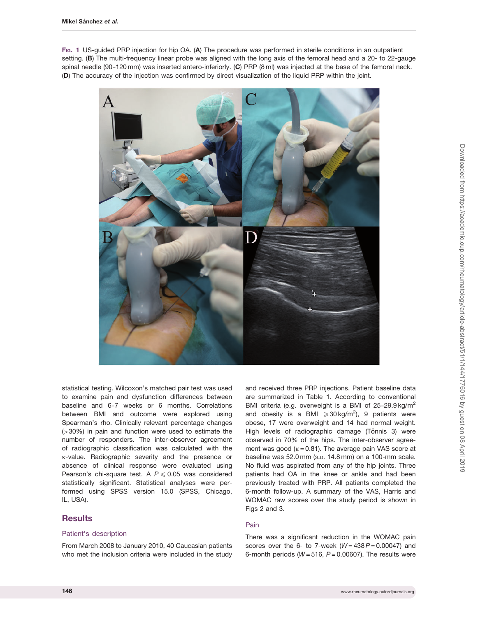<span id="page-2-0"></span>FIG. 1 US-guided PRP injection for hip OA. (A) The procedure was performed in sterile conditions in an outpatient setting. (B) The multi-frequency linear probe was aligned with the long axis of the femoral head and a 20- to 22-gauge spinal needle (90-120 mm) was inserted antero-inferiorly. (C) PRP (8 ml) was injected at the base of the femoral neck. (D) The accuracy of the injection was confirmed by direct visualization of the liquid PRP within the joint.



statistical testing. Wilcoxon's matched pair test was used to examine pain and dysfunction differences between baseline and 6-7 weeks or 6 months. Correlations between BMI and outcome were explored using Spearman's rho. Clinically relevant percentage changes (>30%) in pain and function were used to estimate the number of responders. The inter-observer agreement of radiographic classification was calculated with the k-value. Radiographic severity and the presence or absence of clinical response were evaluated using Pearson's chi-square test. A  $P \le 0.05$  was considered statistically significant. Statistical analyses were performed using SPSS version 15.0 (SPSS, Chicago, IL, USA).

# **Results**

## Patient's description

From March 2008 to January 2010, 40 Caucasian patients who met the inclusion criteria were included in the study and received three PRP injections. Patient baseline data are summarized in [Table 1.](#page-3-0) According to conventional BMI criteria (e.g. overweight is a BMI of 25-29.9 kg/m<sup>2</sup> and obesity is a BMI  $\geqslant$  30 kg/m<sup>2</sup>), 9 patients were obese, 17 were overweight and 14 had normal weight. High levels of radiographic damage (Tönnis 3) were observed in 70% of the hips. The inter-observer agreement was good ( $k = 0.81$ ). The average pain VAS score at baseline was 52.0 mm (S.D. 14.8 mm) on a 100-mm scale. No fluid was aspirated from any of the hip joints. Three patients had OA in the knee or ankle and had been previously treated with PRP. All patients completed the 6-month follow-up. A summary of the VAS, Harris and WOMAC raw scores over the study period is shown in [Figs 2](#page-3-0) and [3.](#page-4-0)

## Pain

There was a significant reduction in the WOMAC pain scores over the 6- to 7-week  $(W = 438 P = 0.00047)$  and 6-month periods ( $W = 516$ ,  $P = 0.00607$ ). The results were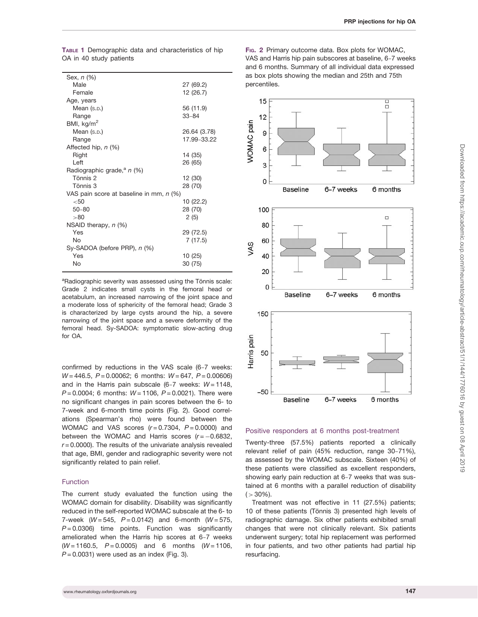<span id="page-3-0"></span>TABLE 1 Demographic data and characteristics of hip OA in 40 study patients

| Sex, n (%)                              |              |
|-----------------------------------------|--------------|
| Male                                    | 27 (69.2)    |
| Female                                  | 12 (26.7)    |
| Age, years                              |              |
| Mean (s.p.)                             | 56 (11.9)    |
| Range                                   | 33-84        |
| BMI, $\text{kg/m}^2$                    |              |
| Mean (s.p.)                             | 26.64 (3.78) |
| Range                                   | 17.99-33.22  |
| Affected hip, n (%)                     |              |
| Right                                   | 14 (35)      |
| Left                                    | 26 (65)      |
| Radiographic grade, <sup>a</sup> n (%)  |              |
| Tönnis 2                                | 12 (30)      |
| Tönnis 3                                | 28 (70)      |
| VAS pain score at baseline in mm, n (%) |              |
| $50$                                    | 10 (22.2)    |
| $50 - 80$                               | 28 (70)      |
| >80                                     | 2(5)         |
| NSAID therapy, $n$ (%)                  |              |
| Yes                                     | 29 (72.5)    |
| No                                      | 7(17.5)      |
| Sy-SADOA (before PRP), n (%)            |              |
| Yes                                     | 10(25)       |
| No                                      | 30 (75)      |

<sup>a</sup>Radiographic severity was assessed using the Tönnis scale: Grade 2 indicates small cysts in the femoral head or acetabulum, an increased narrowing of the joint space and a moderate loss of sphericity of the femoral head; Grade 3 is characterized by large cysts around the hip, a severe narrowing of the joint space and a severe deformity of the femoral head. Sy-SADOA: symptomatic slow-acting drug for  $\Omega$ A

confirmed by reductions in the VAS scale (6-7 weeks:  $W = 446.5$ ,  $P = 0.00062$ ; 6 months:  $W = 647$ ,  $P = 0.00606$ ) and in the Harris pain subscale (6-7 weeks: W = 1148,  $P = 0.0004$ ; 6 months:  $W = 1106$ ,  $P = 0.0021$ ). There were no significant changes in pain scores between the 6- to 7-week and 6-month time points (Fig. 2). Good correlations (Spearman's rho) were found between the WOMAC and VAS scores  $(r=0.7304, P=0.0000)$  and between the WOMAC and Harris scores  $(r = -0.6832,$  $r = 0.0000$ ). The results of the univariate analysis revealed that age, BMI, gender and radiographic severity were not significantly related to pain relief.

## Function

The current study evaluated the function using the WOMAC domain for disability. Disability was significantly reduced in the self-reported WOMAC subscale at the 6- to 7-week ( $W = 545$ ,  $P = 0.0142$ ) and 6-month ( $W = 575$ ,  $P = 0.0306$ ) time points. Function was significantly ameliorated when the Harris hip scores at 6-7 weeks  $(W = 1160.5, P = 0.0005)$  and 6 months  $(W = 1106,$  $P = 0.0031$ ) were used as an index [\(Fig. 3\)](#page-4-0).

FIG. 2 Primary outcome data. Box plots for WOMAC, VAS and Harris hip pain subscores at baseline, 6-7 weeks and 6 months. Summary of all individual data expressed as box plots showing the median and 25th and 75th percentiles.



#### Positive responders at 6 months post-treatment

Twenty-three (57.5%) patients reported a clinically relevant relief of pain (45% reduction, range 30-71%), as assessed by the WOMAC subscale. Sixteen (40%) of these patients were classified as excellent responders, showing early pain reduction at 6-7 weeks that was sustained at 6 months with a parallel reduction of disability  $( > 30\%).$ 

Treatment was not effective in 11 (27.5%) patients; 10 of these patients (Tönnis 3) presented high levels of radiographic damage. Six other patients exhibited small changes that were not clinically relevant. Six patients underwent surgery; total hip replacement was performed in four patients, and two other patients had partial hip resurfacing.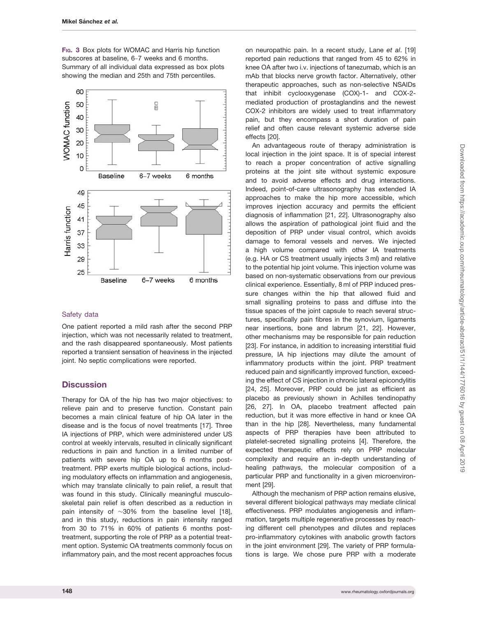<span id="page-4-0"></span>F<sub>IG</sub>. 3 Box plots for WOMAC and Harris hip function subscores at baseline, 6-7 weeks and 6 months. Summary of all individual data expressed as box plots showing the median and 25th and 75th percentiles.



## Safety data

One patient reported a mild rash after the second PRP injection, which was not necessarily related to treatment, and the rash disappeared spontaneously. Most patients reported a transient sensation of heaviness in the injected joint. No septic complications were reported.

## **Discussion**

Therapy for OA of the hip has two major objectives: to relieve pain and to preserve function. Constant pain becomes a main clinical feature of hip OA later in the disease and is the focus of novel treatments [[17](#page-6-0)]. Three IA injections of PRP, which were administered under US control at weekly intervals, resulted in clinically significant reductions in pain and function in a limited number of patients with severe hip OA up to 6 months posttreatment. PRP exerts multiple biological actions, including modulatory effects on inflammation and angiogenesis, which may translate clinically to pain relief, a result that was found in this study. Clinically meaningful musculoskeletal pain relief is often described as a reduction in pain intensity of  $\sim$ 30% from the baseline level [[18](#page-6-0)], and in this study, reductions in pain intensity ranged from 30 to 71% in 60% of patients 6 months posttreatment, supporting the role of PRP as a potential treatment option. Systemic OA treatments commonly focus on inflammatory pain, and the most recent approaches focus

on neuropathic pain. In a recent study, Lane et al. [\[19\]](#page-6-0) reported pain reductions that ranged from 45 to 62% in knee OA after two i.v. injections of tanezumab, which is an mAb that blocks nerve growth factor. Alternatively, other therapeutic approaches, such as non-selective NSAIDs that inhibit cyclooxygenase (COX)-1- and COX-2 mediated production of prostaglandins and the newest COX-2 inhibitors are widely used to treat inflammatory pain, but they encompass a short duration of pain relief and often cause relevant systemic adverse side effects [\[20\]](#page-6-0).

An advantageous route of therapy administration is local injection in the joint space. It is of special interest to reach a proper concentration of active signalling proteins at the joint site without systemic exposure and to avoid adverse effects and drug interactions. Indeed, point-of-care ultrasonography has extended IA approaches to make the hip more accessible, which improves injection accuracy and permits the efficient diagnosis of inflammation [[21](#page-6-0), [22](#page-6-0)]. Ultrasonography also allows the aspiration of pathological joint fluid and the deposition of PRP under visual control, which avoids damage to femoral vessels and nerves. We injected a high volume compared with other IA treatments (e.g. HA or CS treatment usually injects 3 ml) and relative to the potential hip joint volume. This injection volume was based on non-systematic observations from our previous clinical experience. Essentially, 8 ml of PRP induced pressure changes within the hip that allowed fluid and small signalling proteins to pass and diffuse into the tissue spaces of the joint capsule to reach several structures, specifically pain fibres in the synovium, ligaments near insertions, bone and labrum [[21](#page-6-0), [22\]](#page-6-0). However, other mechanisms may be responsible for pain reduction [[23](#page-6-0)]. For instance, in addition to increasing interstitial fluid pressure, IA hip injections may dilute the amount of inflammatory products within the joint. PRP treatment reduced pain and significantly improved function, exceeding the effect of CS injection in chronic lateral epicondylitis [[24](#page-6-0), [25\]](#page-6-0). Moreover, PRP could be just as efficient as placebo as previously shown in Achilles tendinopathy [[26](#page-6-0), [27\]](#page-6-0). In OA, placebo treatment affected pain reduction, but it was more effective in hand or knee OA than in the hip [\[28\]](#page-6-0). Nevertheless, many fundamental aspects of PRP therapies have been attributed to platelet-secreted signalling proteins [[4](#page-5-0)]. Therefore, the expected therapeutic effects rely on PRP molecular complexity and require an in-depth understanding of healing pathways, the molecular composition of a particular PRP and functionality in a given microenvironment [[29](#page-6-0)].

Although the mechanism of PRP action remains elusive, several different biological pathways may mediate clinical effectiveness. PRP modulates angiogenesis and inflammation, targets multiple regenerative processes by reaching different cell phenotypes and dilutes and replaces pro-inflammatory cytokines with anabolic growth factors in the joint environment [[29\]](#page-6-0). The variety of PRP formulations is large. We chose pure PRP with a moderate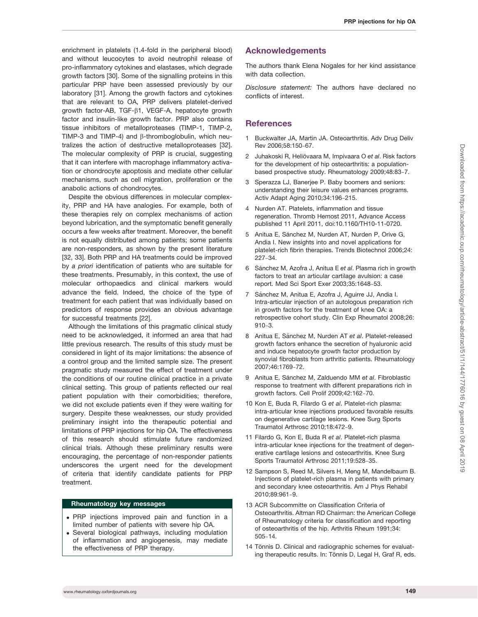<span id="page-5-0"></span>enrichment in platelets (1.4-fold in the peripheral blood) and without leucocytes to avoid neutrophil release of pro-inflammatory cytokines and elastases, which degrade growth factors [[30](#page-6-0)]. Some of the signalling proteins in this particular PRP have been assessed previously by our laboratory [\[31](#page-6-0)]. Among the growth factors and cytokines that are relevant to OA, PRP delivers platelet-derived growth factor-AB, TGF- $\beta$ 1, VEGF-A, hepatocyte growth factor and insulin-like growth factor. PRP also contains tissue inhibitors of metalloproteases (TIMP-1, TIMP-2, TIMP-3 and TIMP-4) and  $\beta$ -thromboglobulin, which neutralizes the action of destructive metalloproteases [[32](#page-6-0)]. The molecular complexity of PRP is crucial, suggesting that it can interfere with macrophage inflammatory activation or chondrocyte apoptosis and mediate other cellular mechanisms, such as cell migration, proliferation or the anabolic actions of chondrocytes.

Despite the obvious differences in molecular complexity, PRP and HA have analogies. For example, both of these therapies rely on complex mechanisms of action beyond lubrication, and the symptomatic benefit generally occurs a few weeks after treatment. Moreover, the benefit is not equally distributed among patients; some patients are non-responders, as shown by the present literature [[32, 33](#page-6-0)]. Both PRP and HA treatments could be improved by a priori identification of patients who are suitable for these treatments. Presumably, in this context, the use of molecular orthopaedics and clinical markers would advance the field. Indeed, the choice of the type of treatment for each patient that was individually based on predictors of response provides an obvious advantage for successful treatments [\[22](#page-6-0)].

Although the limitations of this pragmatic clinical study need to be acknowledged, it informed an area that had little previous research. The results of this study must be considered in light of its major limitations: the absence of a control group and the limited sample size. The present pragmatic study measured the effect of treatment under the conditions of our routine clinical practice in a private clinical setting. This group of patients reflected our real patient population with their comorbidities; therefore, we did not exclude patients even if they were waiting for surgery. Despite these weaknesses, our study provided preliminary insight into the therapeutic potential and limitations of PRP injections for hip OA. The effectiveness of this research should stimulate future randomized clinical trials. Although these preliminary results were encouraging, the percentage of non-responder patients underscores the urgent need for the development of criteria that identify candidate patients for PRP treatment.

## Rheumatology key messages

- . PRP injections improved pain and function in a limited number of patients with severe hip OA.
- . Several biological pathways, including modulation of inflammation and angiogenesis, may mediate the effectiveness of PRP therapy.

## Acknowledgements

The authors thank Elena Nogales for her kind assistance with data collection.

Disclosure statement: The authors have declared no conflicts of interest.

## **References**

- 1 Buckwalter JA, Martin JA. Osteoarthritis. Adv Drug Deliv Rev 2006;58:150-67.
- 2 Juhakoski R, Heliövaara M, Impivaara O et al. Risk factors for the development of hip osteoarthritis: a populationbased prospective study. Rheumatology 2009;48:83-7.
- 3 Sperazza LJ, Banerjee P. Baby boomers and seniors: understanding their leisure values enhances programs. Activ Adapt Aging 2010;34:196-215.
- 4 Nurden AT. Platelets, inflammation and tissue regeneration. Thromb Hemost 2011, Advance Access published 11 April 2011, doi:10.1160/TH10-11-0720.
- 5 Anitua E, Sánchez M, Nurden AT, Nurden P, Orive G, Andia I. New insights into and novel applications for platelet-rich fibrin therapies. Trends Biotechnol 2006;24: 227-34.
- 6 Sánchez M, Azofra J, Anitua E et al. Plasma rich in growth factors to treat an articular cartilage avulsion: a case report. Med Sci Sport Exer 2003;35:1648-53.
- 7 Sánchez M, Anitua E, Azofra J, Aguirre JJ, Andia I. Intra-articular injection of an autologous preparation rich in growth factors for the treatment of knee OA: a retrospective cohort study. Clin Exp Rheumatol 2008;26: 910-3.
- 8 Anitua E, Sánchez M, Nurden AT et al. Platelet-released growth factors enhance the secretion of hyaluronic acid and induce hepatocyte growth factor production by synovial fibroblasts from arthritic patients. Rheumatology 2007;46:1769-72.
- 9 Anitua E, Sánchez M, Zalduendo MM et al. Fibroblastic response to treatment with different preparations rich in growth factors. Cell Prolif 2009;42:162-70.
- 10 Kon E, Buda R, Filardo G et al. Platelet-rich plasma: intra-articular knee injections produced favorable results on degenerative cartilage lesions. Knee Surg Sports Traumatol Arthrosc 2010;18:472-9.
- 11 Filardo G, Kon E, Buda R et al. Platelet-rich plasma intra-articular knee injections for the treatment of degenerative cartilage lesions and osteoarthritis. Knee Surg Sports Traumatol Arthrosc 2011;19:528-35.
- 12 Sampson S, Reed M, Silvers H, Meng M, Mandelbaum B. Injections of platelet-rich plasma in patients with primary and secondary knee osteoarthritis. Am J Phys Rehabil 2010;89:961-9.
- 13 ACR Subcommitte on Classification Criteria of Osteoarthritis. Altman RD Chairman: the American College of Rheumatology criteria for classification and reporting of osteoarthritis of the hip. Arthritis Rheum 1991;34: 505-14.
- 14 Tönnis D. Clinical and radiographic schemes for evaluating therapeutic results. In: Tönnis D, Legal H, Graf R, eds.